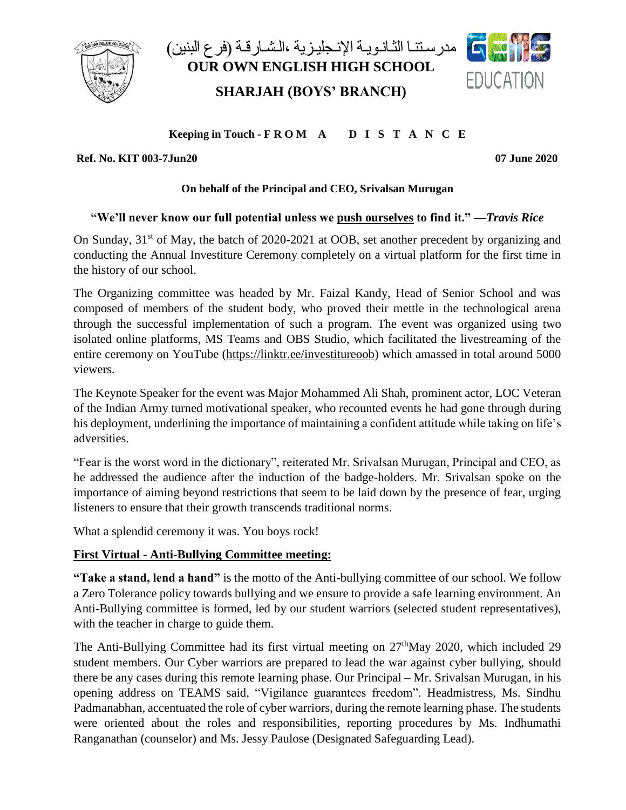

مدر سـتنـا الثـانـويـة الإنـجليـزية ،الـشـارقـة (فر ع البنين) **OUR OWN ENGLISH HIGH SCHOOL SHARJAH (BOYS' BRANCH)**



### **Keeping in Touch - F R O M A D I S T A N C E**

**Ref. No. KIT 003-7Jun20 07 June 2020** 

### **On behalf of the Principal and CEO, Srivalsan Murugan**

# **"We'll never know our full potential unless we [push ourselves](http://www.success.com/podcast/ep-26-how-to-push-yourself-to-greatness) to find it." —***Travis Rice*

On Sunday, 31<sup>st</sup> of May, the batch of 2020-2021 at OOB, set another precedent by organizing and conducting the Annual Investiture Ceremony completely on a virtual platform for the first time in the history of our school.

The Organizing committee was headed by Mr. Faizal Kandy, Head of Senior School and was composed of members of the student body, who proved their mettle in the technological arena through the successful implementation of such a program. The event was organized using two isolated online platforms, MS Teams and OBS Studio, which facilitated the livestreaming of the entire ceremony on YouTube [\(https://linktr.ee/investitureoob\)](https://linktr.ee/investitureoob) which amassed in total around 5000 viewers.

The Keynote Speaker for the event was Major Mohammed Ali Shah, prominent actor, LOC Veteran of the Indian Army turned motivational speaker, who recounted events he had gone through during his deployment, underlining the importance of maintaining a confident attitude while taking on life's adversities.

"Fear is the worst word in the dictionary", reiterated Mr. Srivalsan Murugan, Principal and CEO, as he addressed the audience after the induction of the badge-holders. Mr. Srivalsan spoke on the importance of aiming beyond restrictions that seem to be laid down by the presence of fear, urging listeners to ensure that their growth transcends traditional norms.

What a splendid ceremony it was. You boys rock!

# **First Virtual - Anti-Bullying Committee meeting:**

**"Take a stand, lend a hand"** is the motto of the Anti-bullying committee of our school. We follow a Zero Tolerance policy towards bullying and we ensure to provide a safe learning environment. An Anti-Bullying committee is formed, led by our student warriors (selected student representatives), with the teacher in charge to guide them.

The Anti-Bullying Committee had its first virtual meeting on  $27<sup>th</sup>$ May 2020, which included 29 student members. Our Cyber warriors are prepared to lead the war against cyber bullying, should there be any cases during this remote learning phase. Our Principal – Mr. Srivalsan Murugan, in his opening address on TEAMS said, "Vigilance guarantees freedom". Headmistress, Ms. Sindhu Padmanabhan, accentuated the role of cyber warriors, during the remote learning phase. The students were oriented about the roles and responsibilities, reporting procedures by Ms. Indhumathi Ranganathan (counselor) and Ms. Jessy Paulose (Designated Safeguarding Lead).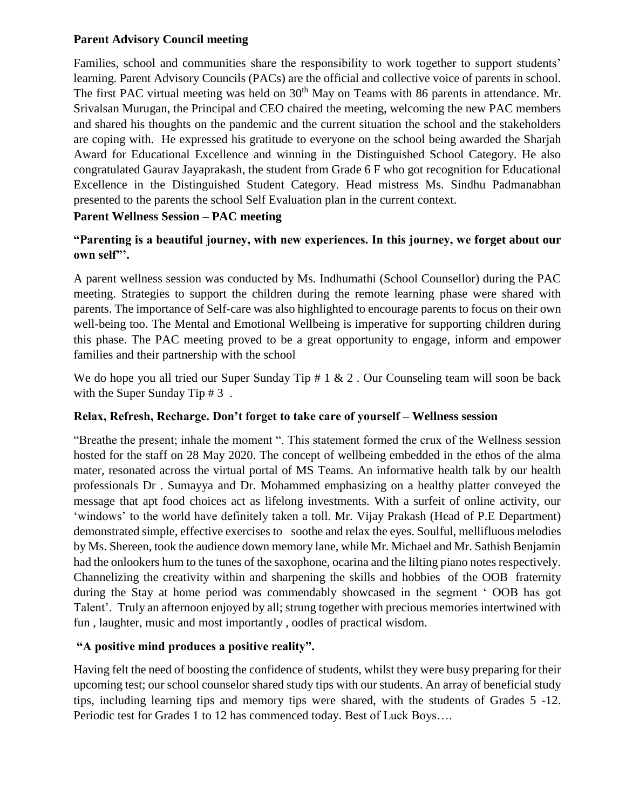#### **Parent Advisory Council meeting**

Families, school and communities share the responsibility to work together to support students' learning. Parent Advisory Councils (PACs) are the official and collective voice of parents in school. The first PAC virtual meeting was held on 30<sup>th</sup> May on Teams with 86 parents in attendance. Mr. Srivalsan Murugan, the Principal and CEO chaired the meeting, welcoming the new PAC members and shared his thoughts on the pandemic and the current situation the school and the stakeholders are coping with.He expressed his gratitude to everyone on the school being awarded the Sharjah Award for Educational Excellence and winning in the Distinguished School Category. He also congratulated Gaurav Jayaprakash, the student from Grade 6 F who got recognition for Educational Excellence in the Distinguished Student Category. Head mistress Ms. Sindhu Padmanabhan presented to the parents the school Self Evaluation plan in the current context.

# **Parent Wellness Session – PAC meeting**

# **"Parenting is a beautiful journey, with new experiences. In this journey, we forget about our own self"'.**

A parent wellness session was conducted by Ms. Indhumathi (School Counsellor) during the PAC meeting. Strategies to support the children during the remote learning phase were shared with parents. The importance of Self-care was also highlighted to encourage parents to focus on their own well-being too. The Mental and Emotional Wellbeing is imperative for supporting children during this phase. The PAC meeting proved to be a great opportunity to engage, inform and empower families and their partnership with the school

We do hope you all tried our Super Sunday Tip  $\# 1 \& 2$ . Our Counseling team will soon be back with the Super Sunday Tip # 3.

#### **Relax, Refresh, Recharge. Don't forget to take care of yourself – Wellness session**

"Breathe the present; inhale the moment ". This statement formed the crux of the Wellness session hosted for the staff on 28 May 2020. The concept of wellbeing embedded in the ethos of the alma mater, resonated across the virtual portal of MS Teams. An informative health talk by our health professionals Dr . Sumayya and Dr. Mohammed emphasizing on a healthy platter conveyed the message that apt food choices act as lifelong investments. With a surfeit of online activity, our 'windows' to the world have definitely taken a toll. Mr. Vijay Prakash (Head of P.E Department) demonstrated simple, effective exercises to soothe and relax the eyes. Soulful, mellifluous melodies by Ms. Shereen, took the audience down memory lane, while Mr. Michael and Mr. Sathish Benjamin had the onlookers hum to the tunes of the saxophone, ocarina and the lilting piano notes respectively. Channelizing the creativity within and sharpening the skills and hobbies of the OOB fraternity during the Stay at home period was commendably showcased in the segment ' OOB has got Talent'. Truly an afternoon enjoyed by all; strung together with precious memories intertwined with fun , laughter, music and most importantly , oodles of practical wisdom.

#### **"A positive mind produces a positive reality".**

Having felt the need of boosting the confidence of students, whilst they were busy preparing for their upcoming test; our school counselor shared study tips with our students. An array of beneficial study tips, including learning tips and memory tips were shared, with the students of Grades 5 -12. Periodic test for Grades 1 to 12 has commenced today. Best of Luck Boys….